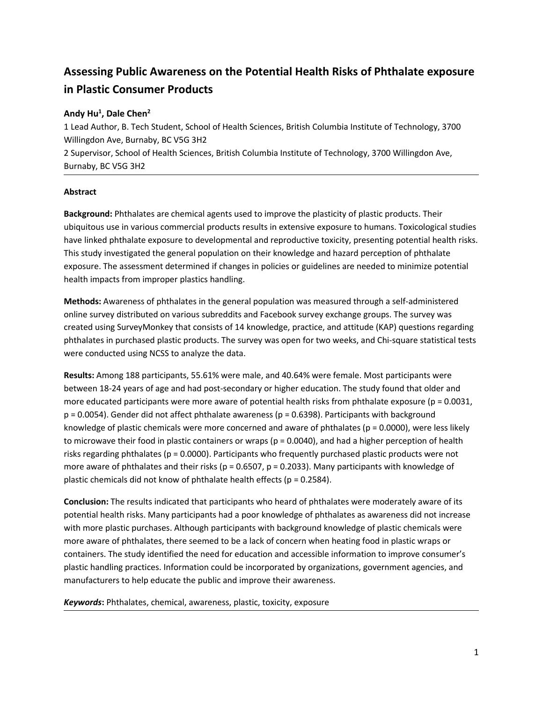# **Assessing Public Awareness on the Potential Health Risks of Phthalate exposure in Plastic Consumer Products**

# **Andy Hu<sup>1</sup> , Dale Chen<sup>2</sup>**

1 Lead Author, B. Tech Student, School of Health Sciences, British Columbia Institute of Technology, 3700 Willingdon Ave, Burnaby, BC V5G 3H2 2 Supervisor, School of Health Sciences, British Columbia Institute of Technology, 3700 Willingdon Ave, Burnaby, BC V5G 3H2

# **Abstract**

**Background:** Phthalates are chemical agents used to improve the plasticity of plastic products. Their ubiquitous use in various commercial products results in extensive exposure to humans. Toxicological studies have linked phthalate exposure to developmental and reproductive toxicity, presenting potential health risks. This study investigated the general population on their knowledge and hazard perception of phthalate exposure. The assessment determined if changes in policies or guidelines are needed to minimize potential health impacts from improper plastics handling.

**Methods:** Awareness of phthalates in the general population was measured through a self-administered online survey distributed on various subreddits and Facebook survey exchange groups. The survey was created using SurveyMonkey that consists of 14 knowledge, practice, and attitude (KAP) questions regarding phthalates in purchased plastic products. The survey was open for two weeks, and Chi-square statistical tests were conducted using NCSS to analyze the data.

**Results:** Among 188 participants, 55.61% were male, and 40.64% were female. Most participants were between 18-24 years of age and had post-secondary or higher education. The study found that older and more educated participants were more aware of potential health risks from phthalate exposure ( $p = 0.0031$ ,  $p = 0.0054$ ). Gender did not affect phthalate awareness ( $p = 0.6398$ ). Participants with background knowledge of plastic chemicals were more concerned and aware of phthalates ( $p = 0.0000$ ), were less likely to microwave their food in plastic containers or wraps ( $p = 0.0040$ ), and had a higher perception of health risks regarding phthalates (p = 0.0000). Participants who frequently purchased plastic products were not more aware of phthalates and their risks ( $p = 0.6507$ ,  $p = 0.2033$ ). Many participants with knowledge of plastic chemicals did not know of phthalate health effects ( $p = 0.2584$ ).

**Conclusion:** The results indicated that participants who heard of phthalates were moderately aware of its potential health risks. Many participants had a poor knowledge of phthalates as awareness did not increase with more plastic purchases. Although participants with background knowledge of plastic chemicals were more aware of phthalates, there seemed to be a lack of concern when heating food in plastic wraps or containers. The study identified the need for education and accessible information to improve consumer's plastic handling practices. Information could be incorporated by organizations, government agencies, and manufacturers to help educate the public and improve their awareness.

*Keywords***:** Phthalates, chemical, awareness, plastic, toxicity, exposure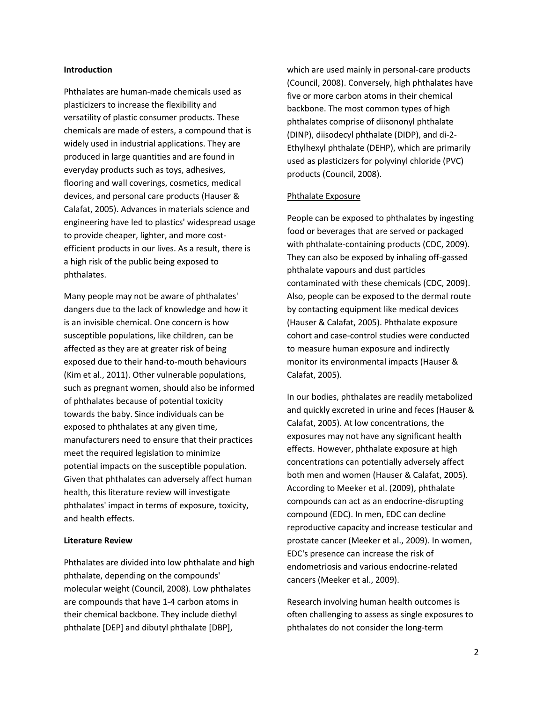#### **Introduction**

Phthalates are human-made chemicals used as plasticizers to increase the flexibility and versatility of plastic consumer products. These chemicals are made of esters, a compound that is widely used in industrial applications. They are produced in large quantities and are found in everyday products such as toys, adhesives, flooring and wall coverings, cosmetics, medical devices, and personal care products (Hauser & Calafat, 2005). Advances in materials science and engineering have led to plastics' widespread usage to provide cheaper, lighter, and more costefficient products in our lives. As a result, there is a high risk of the public being exposed to phthalates.

Many people may not be aware of phthalates' dangers due to the lack of knowledge and how it is an invisible chemical. One concern is how susceptible populations, like children, can be affected as they are at greater risk of being exposed due to their hand-to-mouth behaviours (Kim et al., 2011). Other vulnerable populations, such as pregnant women, should also be informed of phthalates because of potential toxicity towards the baby. Since individuals can be exposed to phthalates at any given time, manufacturers need to ensure that their practices meet the required legislation to minimize potential impacts on the susceptible population. Given that phthalates can adversely affect human health, this literature review will investigate phthalates' impact in terms of exposure, toxicity, and health effects.

## **Literature Review**

Phthalates are divided into low phthalate and high phthalate, depending on the compounds' molecular weight (Council, 2008). Low phthalates are compounds that have 1-4 carbon atoms in their chemical backbone. They include diethyl phthalate [DEP] and dibutyl phthalate [DBP],

which are used mainly in personal-care products (Council, 2008). Conversely, high phthalates have five or more carbon atoms in their chemical backbone. The most common types of high phthalates comprise of diisononyl phthalate (DINP), diisodecyl phthalate (DIDP), and di-2- Ethylhexyl phthalate (DEHP), which are primarily used as plasticizers for polyvinyl chloride (PVC) products (Council, 2008).

## Phthalate Exposure

People can be exposed to phthalates by ingesting food or beverages that are served or packaged with phthalate-containing products (CDC, 2009). They can also be exposed by inhaling off-gassed phthalate vapours and dust particles contaminated with these chemicals (CDC, 2009). Also, people can be exposed to the dermal route by contacting equipment like medical devices (Hauser & Calafat, 2005). Phthalate exposure cohort and case-control studies were conducted to measure human exposure and indirectly monitor its environmental impacts (Hauser & Calafat, 2005).

In our bodies, phthalates are readily metabolized and quickly excreted in urine and feces (Hauser & Calafat, 2005). At low concentrations, the exposures may not have any significant health effects. However, phthalate exposure at high concentrations can potentially adversely affect both men and women (Hauser & Calafat, 2005). According to Meeker et al. (2009), phthalate compounds can act as an endocrine-disrupting compound (EDC). In men, EDC can decline reproductive capacity and increase testicular and prostate cancer (Meeker et al., 2009). In women, EDC's presence can increase the risk of endometriosis and various endocrine-related cancers (Meeker et al., 2009).

Research involving human health outcomes is often challenging to assess as single exposures to phthalates do not consider the long-term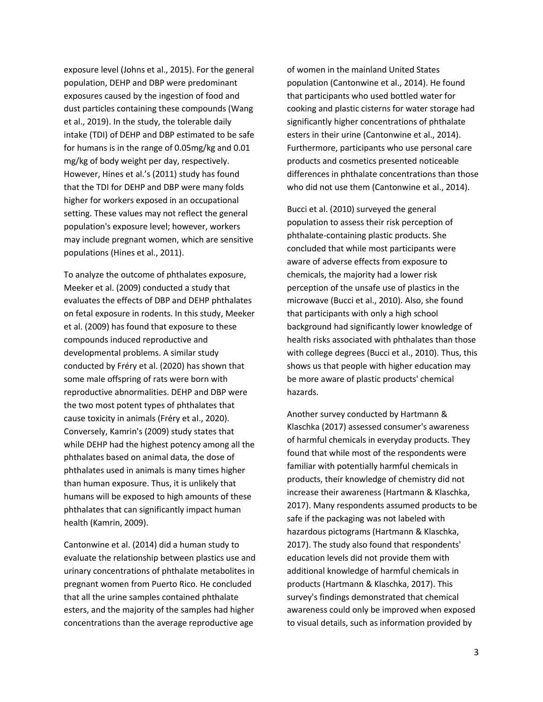exposure level (Johns et al., 2015). For the general population, DEHP and DBP were predominant exposures caused by the ingestion of food and dust particles containing these compounds (Wang et al., 2019). In the study, the tolerable daily intake (TDI) of DEHP and DBP estimated to be safe for humans is in the range of 0.05mg/kg and 0.01 mg/kg of body weight per day, respectively. However, Hines et al.'s (2011) study has found that the TDI for DEHP and DBP were many folds higher for workers exposed in an occupational setting. These values may not reflect the general population's exposure level; however, workers may include pregnant women, which are sensitive populations (Hines et al., 2011).

To analyze the outcome of phthalates exposure, Meeker et al. (2009) conducted a study that evaluates the effects of DBP and DEHP phthalates on fetal exposure in rodents. In this study, Meeker et al. (2009) has found that exposure to these compounds induced reproductive and developmental problems. A similar study conducted by Fréry et al. (2020) has shown that some male offspring of rats were born with reproductive abnormalities. DEHP and DBP were the two most potent types of phthalates that cause toxicity in animals (Fréry et al., 2020). Conversely, Kamrin's (2009) study states that while DEHP had the highest potency among all the phthalates based on animal data, the dose of phthalates used in animals is many times higher than human exposure. Thus, it is unlikely that humans will be exposed to high amounts of these phthalates that can significantly impact human health (Kamrin, 2009).

Cantonwine et al. (2014) did a human study to evaluate the relationship between plastics use and urinary concentrations of phthalate metabolites in pregnant women from Puerto Rico. He concluded that all the urine samples contained phthalate esters, and the majority of the samples had higher concentrations than the average reproductive age

of women in the mainland United States population (Cantonwine et al., 2014). He found that participants who used bottled water for cooking and plastic cisterns for water storage had significantly higher concentrations of phthalate esters in their urine (Cantonwine et al., 2014). Furthermore, participants who use personal care products and cosmetics presented noticeable differences in phthalate concentrations than those who did not use them (Cantonwine et al., 2014).

Bucci et al. (2010) surveyed the general population to assess their risk perception of phthalate-containing plastic products. She concluded that while most participants were aware of adverse effects from exposure to chemicals, the majority had a lower risk perception of the unsafe use of plastics in the microwave (Bucci et al., 2010). Also, she found that participants with only a high school background had significantly lower knowledge of health risks associated with phthalates than those with college degrees (Bucci et al., 2010). Thus, this shows us that people with higher education may be more aware of plastic products' chemical hazards.

Another survey conducted by Hartmann & Klaschka (2017) assessed consumer's awareness of harmful chemicals in everyday products. They found that while most of the respondents were familiar with potentially harmful chemicals in products, their knowledge of chemistry did not increase their awareness (Hartmann & Klaschka, 2017). Many respondents assumed products to be safe if the packaging was not labeled with hazardous pictograms (Hartmann & Klaschka, 2017). The study also found that respondents' education levels did not provide them with additional knowledge of harmful chemicals in products (Hartmann & Klaschka, 2017). This survey's findings demonstrated that chemical awareness could only be improved when exposed to visual details, such as information provided by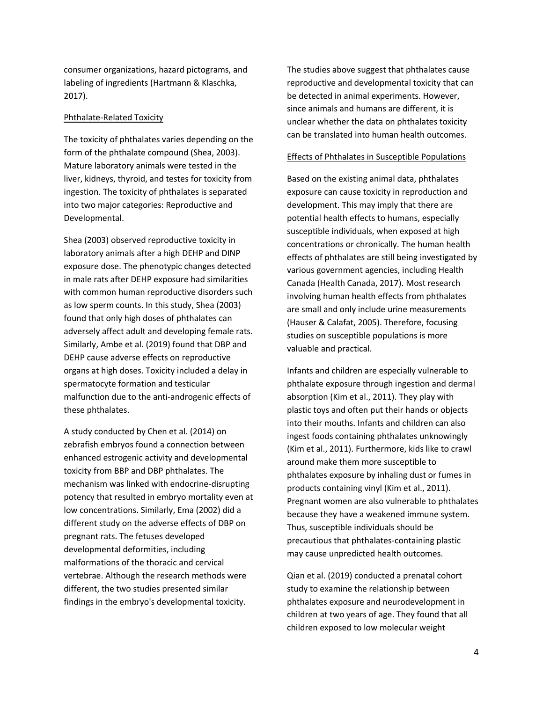consumer organizations, hazard pictograms, and labeling of ingredients (Hartmann & Klaschka, 2017).

## Phthalate-Related Toxicity

The toxicity of phthalates varies depending on the form of the phthalate compound (Shea, 2003). Mature laboratory animals were tested in the liver, kidneys, thyroid, and testes for toxicity from ingestion. The toxicity of phthalates is separated into two major categories: Reproductive and Developmental.

Shea (2003) observed reproductive toxicity in laboratory animals after a high DEHP and DINP exposure dose. The phenotypic changes detected in male rats after DEHP exposure had similarities with common human reproductive disorders such as low sperm counts. In this study, Shea (2003) found that only high doses of phthalates can adversely affect adult and developing female rats. Similarly, Ambe et al. (2019) found that DBP and DEHP cause adverse effects on reproductive organs at high doses. Toxicity included a delay in spermatocyte formation and testicular malfunction due to the anti-androgenic effects of these phthalates.

A study conducted by Chen et al. (2014) on zebrafish embryos found a connection between enhanced estrogenic activity and developmental toxicity from BBP and DBP phthalates. The mechanism was linked with endocrine-disrupting potency that resulted in embryo mortality even at low concentrations. Similarly, Ema (2002) did a different study on the adverse effects of DBP on pregnant rats. The fetuses developed developmental deformities, including malformations of the thoracic and cervical vertebrae. Although the research methods were different, the two studies presented similar findings in the embryo's developmental toxicity.

The studies above suggest that phthalates cause reproductive and developmental toxicity that can be detected in animal experiments. However, since animals and humans are different, it is unclear whether the data on phthalates toxicity can be translated into human health outcomes.

## Effects of Phthalates in Susceptible Populations

Based on the existing animal data, phthalates exposure can cause toxicity in reproduction and development. This may imply that there are potential health effects to humans, especially susceptible individuals, when exposed at high concentrations or chronically. The human health effects of phthalates are still being investigated by various government agencies, including Health Canada (Health Canada, 2017). Most research involving human health effects from phthalates are small and only include urine measurements (Hauser & Calafat, 2005). Therefore, focusing studies on susceptible populations is more valuable and practical.

Infants and children are especially vulnerable to phthalate exposure through ingestion and dermal absorption (Kim et al., 2011). They play with plastic toys and often put their hands or objects into their mouths. Infants and children can also ingest foods containing phthalates unknowingly (Kim et al., 2011). Furthermore, kids like to crawl around make them more susceptible to phthalates exposure by inhaling dust or fumes in products containing vinyl (Kim et al., 2011). Pregnant women are also vulnerable to phthalates because they have a weakened immune system. Thus, susceptible individuals should be precautious that phthalates-containing plastic may cause unpredicted health outcomes.

Qian et al. (2019) conducted a prenatal cohort study to examine the relationship between phthalates exposure and neurodevelopment in children at two years of age. They found that all children exposed to low molecular weight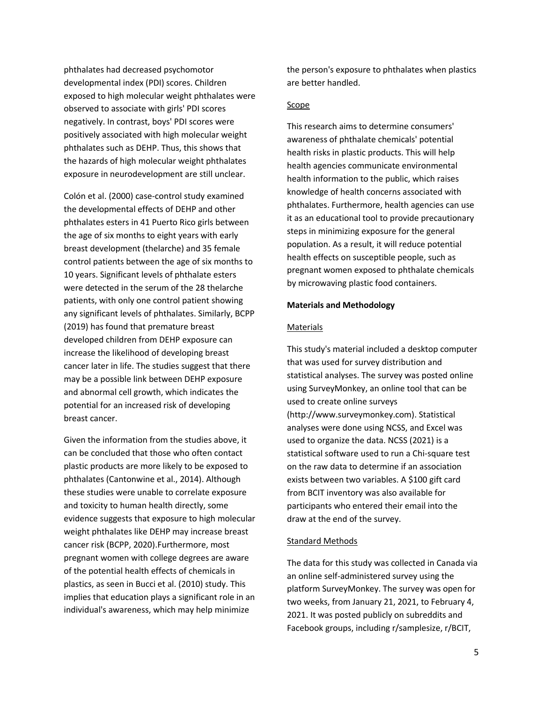phthalates had decreased psychomotor developmental index (PDI) scores. Children exposed to high molecular weight phthalates were observed to associate with girls' PDI scores negatively. In contrast, boys' PDI scores were positively associated with high molecular weight phthalates such as DEHP. Thus, this shows that the hazards of high molecular weight phthalates exposure in neurodevelopment are still unclear.

Colón et al. (2000) case-control study examined the developmental effects of DEHP and other phthalates esters in 41 Puerto Rico girls between the age of six months to eight years with early breast development (thelarche) and 35 female control patients between the age of six months to 10 years. Significant levels of phthalate esters were detected in the serum of the 28 thelarche patients, with only one control patient showing any significant levels of phthalates. Similarly, BCPP (2019) has found that premature breast developed children from DEHP exposure can increase the likelihood of developing breast cancer later in life. The studies suggest that there may be a possible link between DEHP exposure and abnormal cell growth, which indicates the potential for an increased risk of developing breast cancer.

Given the information from the studies above, it can be concluded that those who often contact plastic products are more likely to be exposed to phthalates (Cantonwine et al., 2014). Although these studies were unable to correlate exposure and toxicity to human health directly, some evidence suggests that exposure to high molecular weight phthalates like DEHP may increase breast cancer risk (BCPP, 2020).Furthermore, most pregnant women with college degrees are aware of the potential health effects of chemicals in plastics, as seen in Bucci et al. (2010) study. This implies that education plays a significant role in an individual's awareness, which may help minimize

the person's exposure to phthalates when plastics are better handled.

## Scope

This research aims to determine consumers' awareness of phthalate chemicals' potential health risks in plastic products. This will help health agencies communicate environmental health information to the public, which raises knowledge of health concerns associated with phthalates. Furthermore, health agencies can use it as an educational tool to provide precautionary steps in minimizing exposure for the general population. As a result, it will reduce potential health effects on susceptible people, such as pregnant women exposed to phthalate chemicals by microwaving plastic food containers.

#### **Materials and Methodology**

#### Materials

This study's material included a desktop computer that was used for survey distribution and statistical analyses. The survey was posted online using SurveyMonkey, an online tool that can be used to create online surveys (http://www.surveymonkey.com). Statistical analyses were done using NCSS, and Excel was used to organize the data. NCSS (2021) is a statistical software used to run a Chi-square test on the raw data to determine if an association exists between two variables. A \$100 gift card from BCIT inventory was also available for participants who entered their email into the draw at the end of the survey.

#### Standard Methods

The data for this study was collected in Canada via an online self-administered survey using the platform SurveyMonkey. The survey was open for two weeks, from January 21, 2021, to February 4, 2021. It was posted publicly on subreddits and Facebook groups, including r/samplesize, r/BCIT,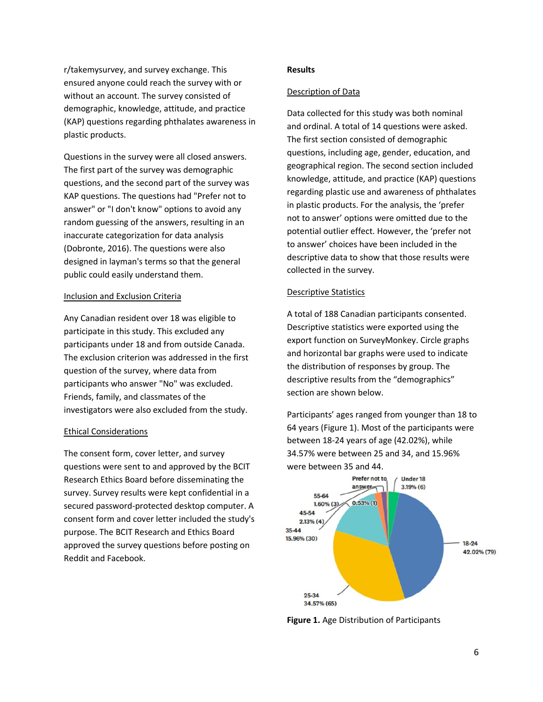r/takemysurvey, and survey exchange. This ensured anyone could reach the survey with or without an account. The survey consisted of demographic, knowledge, attitude, and practice (KAP) questions regarding phthalates awareness in plastic products.

Questions in the survey were all closed answers. The first part of the survey was demographic questions, and the second part of the survey was KAP questions. The questions had "Prefer not to answer" or "I don't know" options to avoid any random guessing of the answers, resulting in an inaccurate categorization for data analysis (Dobronte, 2016). The questions were also designed in layman's terms so that the general public could easily understand them.

# Inclusion and Exclusion Criteria

Any Canadian resident over 18 was eligible to participate in this study. This excluded any participants under 18 and from outside Canada. The exclusion criterion was addressed in the first question of the survey, where data from participants who answer "No" was excluded. Friends, family, and classmates of the investigators were also excluded from the study.

#### Ethical Considerations

The consent form, cover letter, and survey questions were sent to and approved by the BCIT Research Ethics Board before disseminating the survey. Survey results were kept confidential in a secured password-protected desktop computer. A consent form and cover letter included the study's purpose. The BCIT Research and Ethics Board approved the survey questions before posting on Reddit and Facebook.

# **Results**

## Description of Data

Data collected for this study was both nominal and ordinal. A total of 14 questions were asked. The first section consisted of demographic questions, including age, gender, education, and geographical region. The second section included knowledge, attitude, and practice (KAP) questions regarding plastic use and awareness of phthalates in plastic products. For the analysis, the 'prefer not to answer' options were omitted due to the potential outlier effect. However, the 'prefer not to answer' choices have been included in the descriptive data to show that those results were collected in the survey.

## Descriptive Statistics

A total of 188 Canadian participants consented. Descriptive statistics were exported using the export function on SurveyMonkey. Circle graphs and horizontal bar graphs were used to indicate the distribution of responses by group. The descriptive results from the "demographics" section are shown below.

Participants' ages ranged from younger than 18 to 64 years (Figure 1). Most of the participants were between 18-24 years of age (42.02%), while 34.57% were between 25 and 34, and 15.96% were between 35 and 44.



**Figure 1.** Age Distribution of Participants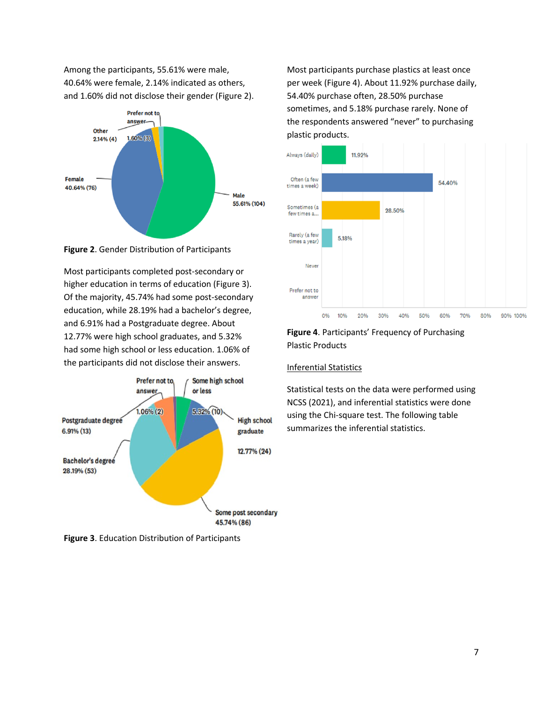Among the participants, 55.61% were male, 40.64% were female, 2.14% indicated as others, and 1.60% did not disclose their gender (Figure 2).



**Figure 2**. Gender Distribution of Participants

Most participants completed post-secondary or higher education in terms of education (Figure 3). Of the majority, 45.74% had some post-secondary education, while 28.19% had a bachelor's degree, and 6.91% had a Postgraduate degree. About 12.77% were high school graduates, and 5.32% had some high school or less education. 1.06% of the participants did not disclose their answers.



**Figure 3**. Education Distribution of Participants

Most participants purchase plastics at least once per week (Figure 4). About 11.92% purchase daily, 54.40% purchase often, 28.50% purchase sometimes, and 5.18% purchase rarely. None of the respondents answered "never" to purchasing plastic products.



# **Figure 4**. Participants' Frequency of Purchasing Plastic Products

# Inferential Statistics

Statistical tests on the data were performed using NCSS (2021), and inferential statistics were done using the Chi-square test. The following table summarizes the inferential statistics.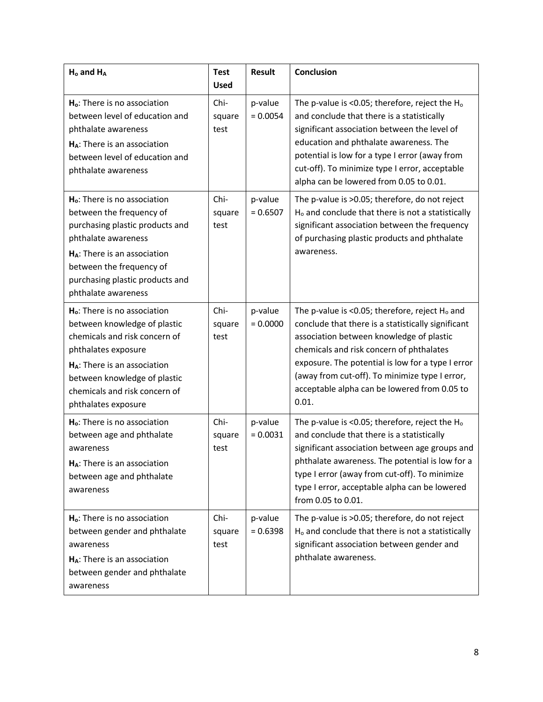| $H_0$ and $H_A$                                                                                                                                                                                                                                                  | <b>Test</b><br><b>Used</b> | <b>Result</b>         | <b>Conclusion</b>                                                                                                                                                                                                                                                                                                                                               |
|------------------------------------------------------------------------------------------------------------------------------------------------------------------------------------------------------------------------------------------------------------------|----------------------------|-----------------------|-----------------------------------------------------------------------------------------------------------------------------------------------------------------------------------------------------------------------------------------------------------------------------------------------------------------------------------------------------------------|
| H <sub>o</sub> : There is no association<br>between level of education and<br>phthalate awareness<br>H <sub>A</sub> : There is an association<br>between level of education and<br>phthalate awareness                                                           | Chi-<br>square<br>test     | p-value<br>$= 0.0054$ | The p-value is <0.05; therefore, reject the $H_0$<br>and conclude that there is a statistically<br>significant association between the level of<br>education and phthalate awareness. The<br>potential is low for a type I error (away from<br>cut-off). To minimize type I error, acceptable<br>alpha can be lowered from 0.05 to 0.01.                        |
| H <sub>o</sub> : There is no association<br>between the frequency of<br>purchasing plastic products and<br>phthalate awareness<br>H <sub>A</sub> : There is an association<br>between the frequency of<br>purchasing plastic products and<br>phthalate awareness | Chi-<br>square<br>test     | p-value<br>$= 0.6507$ | The p-value is >0.05; therefore, do not reject<br>H <sub>o</sub> and conclude that there is not a statistically<br>significant association between the frequency<br>of purchasing plastic products and phthalate<br>awareness.                                                                                                                                  |
| H <sub>o</sub> : There is no association<br>between knowledge of plastic<br>chemicals and risk concern of<br>phthalates exposure<br>$H_A$ : There is an association<br>between knowledge of plastic<br>chemicals and risk concern of<br>phthalates exposure      | Chi-<br>square<br>test     | p-value<br>$= 0.0000$ | The p-value is <0.05; therefore, reject $H_0$ and<br>conclude that there is a statistically significant<br>association between knowledge of plastic<br>chemicals and risk concern of phthalates<br>exposure. The potential is low for a type I error<br>(away from cut-off). To minimize type I error,<br>acceptable alpha can be lowered from 0.05 to<br>0.01. |
| H <sub>o</sub> : There is no association<br>between age and phthalate<br>awareness<br>H <sub>A</sub> : There is an association<br>between age and phthalate<br>awareness                                                                                         | Chi-<br>square<br>test     | p-value<br>$= 0.0031$ | The p-value is <0.05; therefore, reject the H <sub>o</sub><br>and conclude that there is a statistically<br>significant association between age groups and<br>phthalate awareness. The potential is low for a<br>type I error (away from cut-off). To minimize<br>type I error, acceptable alpha can be lowered<br>from 0.05 to 0.01.                           |
| H <sub>o</sub> : There is no association<br>between gender and phthalate<br>awareness<br>H <sub>A</sub> : There is an association<br>between gender and phthalate<br>awareness                                                                                   | Chi-<br>square<br>test     | p-value<br>$= 0.6398$ | The p-value is >0.05; therefore, do not reject<br>H <sub>o</sub> and conclude that there is not a statistically<br>significant association between gender and<br>phthalate awareness.                                                                                                                                                                           |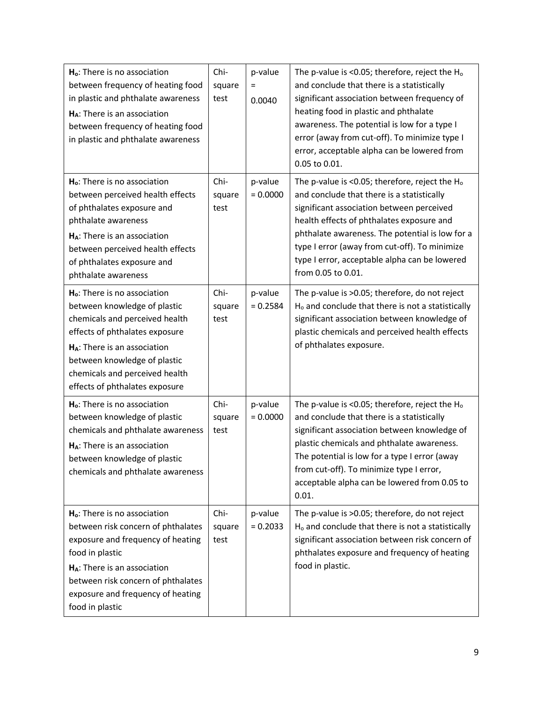| H <sub>o</sub> : There is no association<br>between frequency of heating food<br>in plastic and phthalate awareness<br>H <sub>A</sub> : There is an association<br>between frequency of heating food<br>in plastic and phthalate awareness                                                   | Chi-<br>square<br>test | p-value<br>Ξ<br>0.0040 | The p-value is <0.05; therefore, reject the $H_0$<br>and conclude that there is a statistically<br>significant association between frequency of<br>heating food in plastic and phthalate<br>awareness. The potential is low for a type I<br>error (away from cut-off). To minimize type I<br>error, acceptable alpha can be lowered from<br>0.05 to 0.01.                     |
|----------------------------------------------------------------------------------------------------------------------------------------------------------------------------------------------------------------------------------------------------------------------------------------------|------------------------|------------------------|-------------------------------------------------------------------------------------------------------------------------------------------------------------------------------------------------------------------------------------------------------------------------------------------------------------------------------------------------------------------------------|
| $Ho$ : There is no association<br>between perceived health effects<br>of phthalates exposure and<br>phthalate awareness<br>H <sub>A</sub> : There is an association<br>between perceived health effects<br>of phthalates exposure and<br>phthalate awareness                                 | Chi-<br>square<br>test | p-value<br>$= 0.0000$  | The p-value is <0.05; therefore, reject the H <sub>o</sub><br>and conclude that there is a statistically<br>significant association between perceived<br>health effects of phthalates exposure and<br>phthalate awareness. The potential is low for a<br>type I error (away from cut-off). To minimize<br>type I error, acceptable alpha can be lowered<br>from 0.05 to 0.01. |
| H <sub>o</sub> : There is no association<br>between knowledge of plastic<br>chemicals and perceived health<br>effects of phthalates exposure<br>H <sub>A</sub> : There is an association<br>between knowledge of plastic<br>chemicals and perceived health<br>effects of phthalates exposure | Chi-<br>square<br>test | p-value<br>$= 0.2584$  | The p-value is >0.05; therefore, do not reject<br>H <sub>o</sub> and conclude that there is not a statistically<br>significant association between knowledge of<br>plastic chemicals and perceived health effects<br>of phthalates exposure.                                                                                                                                  |
| $Ho$ : There is no association<br>between knowledge of plastic<br>chemicals and phthalate awareness<br>H <sub>A</sub> : There is an association<br>between knowledge of plastic<br>chemicals and phthalate awareness                                                                         | Chi-<br>square<br>test | p-value<br>$= 0.0000$  | The p-value is <0.05; therefore, reject the $H_0$<br>and conclude that there is a statistically<br>significant association between knowledge of<br>plastic chemicals and phthalate awareness.<br>The potential is low for a type I error (away<br>from cut-off). To minimize type I error,<br>acceptable alpha can be lowered from 0.05 to<br>0.01.                           |
| H <sub>o</sub> : There is no association<br>between risk concern of phthalates<br>exposure and frequency of heating<br>food in plastic<br>H <sub>A</sub> : There is an association<br>between risk concern of phthalates<br>exposure and frequency of heating<br>food in plastic             | Chi-<br>square<br>test | p-value<br>$= 0.2033$  | The p-value is >0.05; therefore, do not reject<br>H <sub>o</sub> and conclude that there is not a statistically<br>significant association between risk concern of<br>phthalates exposure and frequency of heating<br>food in plastic.                                                                                                                                        |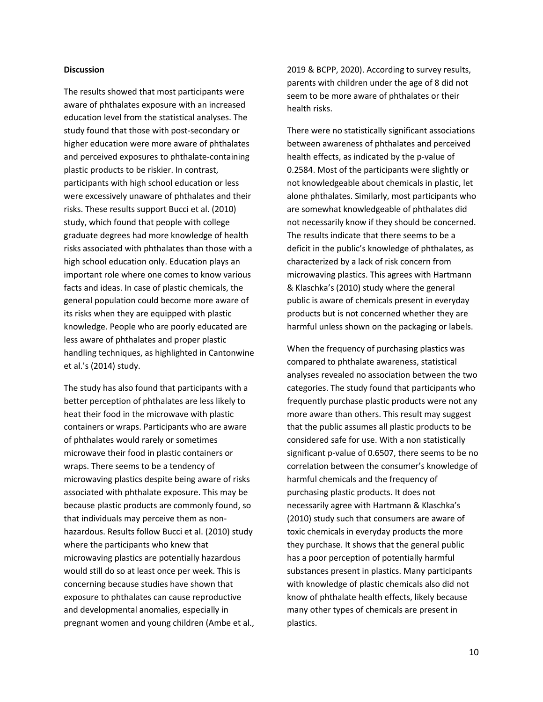## **Discussion**

The results showed that most participants were aware of phthalates exposure with an increased education level from the statistical analyses. The study found that those with post-secondary or higher education were more aware of phthalates and perceived exposures to phthalate-containing plastic products to be riskier. In contrast, participants with high school education or less were excessively unaware of phthalates and their risks. These results support Bucci et al. (2010) study, which found that people with college graduate degrees had more knowledge of health risks associated with phthalates than those with a high school education only. Education plays an important role where one comes to know various facts and ideas. In case of plastic chemicals, the general population could become more aware of its risks when they are equipped with plastic knowledge. People who are poorly educated are less aware of phthalates and proper plastic handling techniques, as highlighted in Cantonwine et al.'s (2014) study.

The study has also found that participants with a better perception of phthalates are less likely to heat their food in the microwave with plastic containers or wraps. Participants who are aware of phthalates would rarely or sometimes microwave their food in plastic containers or wraps. There seems to be a tendency of microwaving plastics despite being aware of risks associated with phthalate exposure. This may be because plastic products are commonly found, so that individuals may perceive them as nonhazardous. Results follow Bucci et al. (2010) study where the participants who knew that microwaving plastics are potentially hazardous would still do so at least once per week. This is concerning because studies have shown that exposure to phthalates can cause reproductive and developmental anomalies, especially in pregnant women and young children (Ambe et al.,

2019 & BCPP, 2020). According to survey results, parents with children under the age of 8 did not seem to be more aware of phthalates or their health risks.

There were no statistically significant associations between awareness of phthalates and perceived health effects, as indicated by the p-value of 0.2584. Most of the participants were slightly or not knowledgeable about chemicals in plastic, let alone phthalates. Similarly, most participants who are somewhat knowledgeable of phthalates did not necessarily know if they should be concerned. The results indicate that there seems to be a deficit in the public's knowledge of phthalates, as characterized by a lack of risk concern from microwaving plastics. This agrees with Hartmann & Klaschka's (2010) study where the general public is aware of chemicals present in everyday products but is not concerned whether they are harmful unless shown on the packaging or labels.

When the frequency of purchasing plastics was compared to phthalate awareness, statistical analyses revealed no association between the two categories. The study found that participants who frequently purchase plastic products were not any more aware than others. This result may suggest that the public assumes all plastic products to be considered safe for use. With a non statistically significant p-value of 0.6507, there seems to be no correlation between the consumer's knowledge of harmful chemicals and the frequency of purchasing plastic products. It does not necessarily agree with Hartmann & Klaschka's (2010) study such that consumers are aware of toxic chemicals in everyday products the more they purchase. It shows that the general public has a poor perception of potentially harmful substances present in plastics. Many participants with knowledge of plastic chemicals also did not know of phthalate health effects, likely because many other types of chemicals are present in plastics.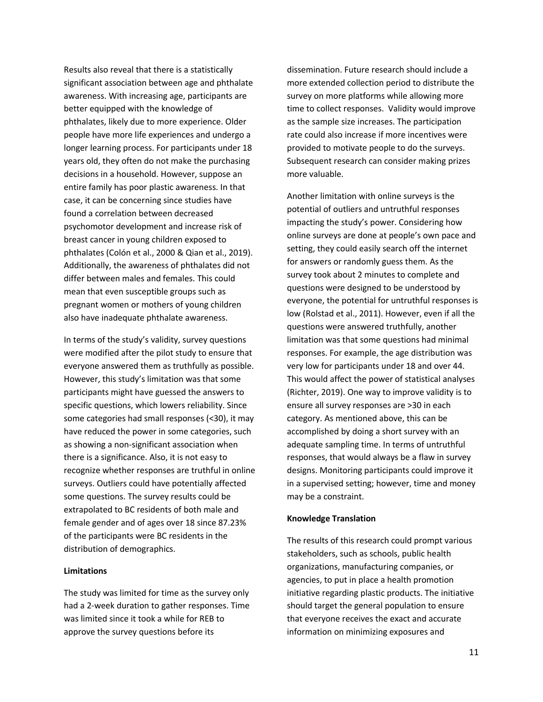Results also reveal that there is a statistically significant association between age and phthalate awareness. With increasing age, participants are better equipped with the knowledge of phthalates, likely due to more experience. Older people have more life experiences and undergo a longer learning process. For participants under 18 years old, they often do not make the purchasing decisions in a household. However, suppose an entire family has poor plastic awareness. In that case, it can be concerning since studies have found a correlation between decreased psychomotor development and increase risk of breast cancer in young children exposed to phthalates (Colón et al., 2000 & Qian et al., 2019). Additionally, the awareness of phthalates did not differ between males and females. This could mean that even susceptible groups such as pregnant women or mothers of young children also have inadequate phthalate awareness.

In terms of the study's validity, survey questions were modified after the pilot study to ensure that everyone answered them as truthfully as possible. However, this study's limitation was that some participants might have guessed the answers to specific questions, which lowers reliability. Since some categories had small responses (<30), it may have reduced the power in some categories, such as showing a non-significant association when there is a significance. Also, it is not easy to recognize whether responses are truthful in online surveys. Outliers could have potentially affected some questions. The survey results could be extrapolated to BC residents of both male and female gender and of ages over 18 since 87.23% of the participants were BC residents in the distribution of demographics.

## **Limitations**

The study was limited for time as the survey only had a 2-week duration to gather responses. Time was limited since it took a while for REB to approve the survey questions before its

dissemination. Future research should include a more extended collection period to distribute the survey on more platforms while allowing more time to collect responses. Validity would improve as the sample size increases. The participation rate could also increase if more incentives were provided to motivate people to do the surveys. Subsequent research can consider making prizes more valuable.

Another limitation with online surveys is the potential of outliers and untruthful responses impacting the study's power. Considering how online surveys are done at people's own pace and setting, they could easily search off the internet for answers or randomly guess them. As the survey took about 2 minutes to complete and questions were designed to be understood by everyone, the potential for untruthful responses is low (Rolstad et al., 2011). However, even if all the questions were answered truthfully, another limitation was that some questions had minimal responses. For example, the age distribution was very low for participants under 18 and over 44. This would affect the power of statistical analyses (Richter, 2019). One way to improve validity is to ensure all survey responses are >30 in each category. As mentioned above, this can be accomplished by doing a short survey with an adequate sampling time. In terms of untruthful responses, that would always be a flaw in survey designs. Monitoring participants could improve it in a supervised setting; however, time and money may be a constraint.

#### **Knowledge Translation**

The results of this research could prompt various stakeholders, such as schools, public health organizations, manufacturing companies, or agencies, to put in place a health promotion initiative regarding plastic products. The initiative should target the general population to ensure that everyone receives the exact and accurate information on minimizing exposures and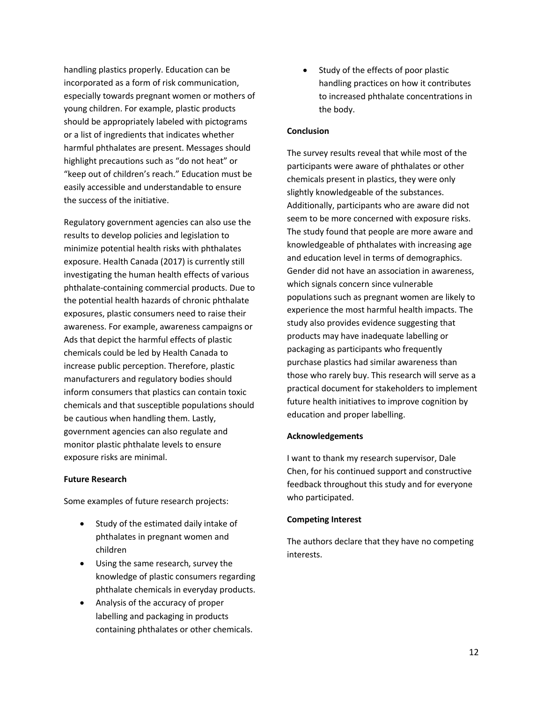handling plastics properly. Education can be incorporated as a form of risk communication, especially towards pregnant women or mothers of young children. For example, plastic products should be appropriately labeled with pictograms or a list of ingredients that indicates whether harmful phthalates are present. Messages should highlight precautions such as "do not heat" or "keep out of children's reach." Education must be easily accessible and understandable to ensure the success of the initiative.

Regulatory government agencies can also use the results to develop policies and legislation to minimize potential health risks with phthalates exposure. Health Canada (2017) is currently still investigating the human health effects of various phthalate-containing commercial products. Due to the potential health hazards of chronic phthalate exposures, plastic consumers need to raise their awareness. For example, awareness campaigns or Ads that depict the harmful effects of plastic chemicals could be led by Health Canada to increase public perception. Therefore, plastic manufacturers and regulatory bodies should inform consumers that plastics can contain toxic chemicals and that susceptible populations should be cautious when handling them. Lastly, government agencies can also regulate and monitor plastic phthalate levels to ensure exposure risks are minimal.

# **Future Research**

Some examples of future research projects:

- Study of the estimated daily intake of phthalates in pregnant women and children
- Using the same research, survey the knowledge of plastic consumers regarding phthalate chemicals in everyday products.
- Analysis of the accuracy of proper labelling and packaging in products containing phthalates or other chemicals.

• Study of the effects of poor plastic handling practices on how it contributes to increased phthalate concentrations in the body.

## **Conclusion**

The survey results reveal that while most of the participants were aware of phthalates or other chemicals present in plastics, they were only slightly knowledgeable of the substances. Additionally, participants who are aware did not seem to be more concerned with exposure risks. The study found that people are more aware and knowledgeable of phthalates with increasing age and education level in terms of demographics. Gender did not have an association in awareness, which signals concern since vulnerable populations such as pregnant women are likely to experience the most harmful health impacts. The study also provides evidence suggesting that products may have inadequate labelling or packaging as participants who frequently purchase plastics had similar awareness than those who rarely buy. This research will serve as a practical document for stakeholders to implement future health initiatives to improve cognition by education and proper labelling.

# **Acknowledgements**

I want to thank my research supervisor, Dale Chen, for his continued support and constructive feedback throughout this study and for everyone who participated.

# **Competing Interest**

The authors declare that they have no competing interests.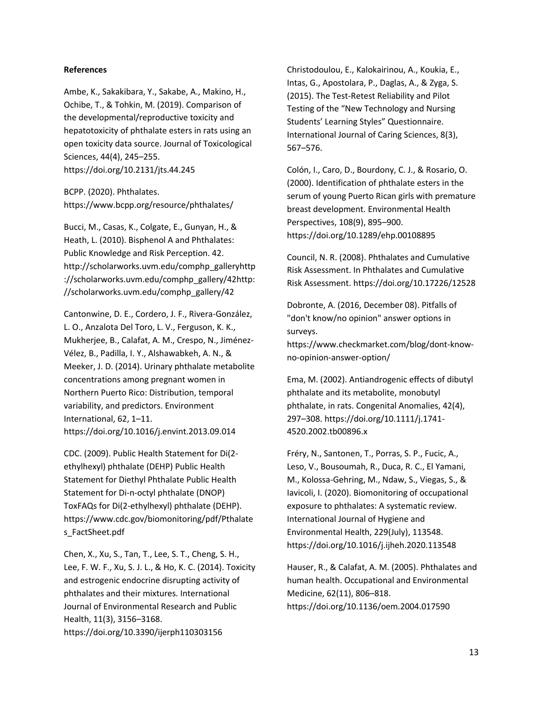#### **References**

Ambe, K., Sakakibara, Y., Sakabe, A., Makino, H., Ochibe, T., & Tohkin, M. (2019). Comparison of the developmental/reproductive toxicity and hepatotoxicity of phthalate esters in rats using an open toxicity data source. Journal of Toxicological Sciences, 44(4), 245–255. https://doi.org/10.2131/jts.44.245

BCPP. (2020). Phthalates. https://www.bcpp.org/resource/phthalates/

Bucci, M., Casas, K., Colgate, E., Gunyan, H., & Heath, L. (2010). Bisphenol A and Phthalates: Public Knowledge and Risk Perception. 42. http://scholarworks.uvm.edu/comphp\_galleryhttp ://scholarworks.uvm.edu/comphp\_gallery/42http: //scholarworks.uvm.edu/comphp\_gallery/42

Cantonwine, D. E., Cordero, J. F., Rivera-González, L. O., Anzalota Del Toro, L. V., Ferguson, K. K., Mukherjee, B., Calafat, A. M., Crespo, N., Jiménez-Vélez, B., Padilla, I. Y., Alshawabkeh, A. N., & Meeker, J. D. (2014). Urinary phthalate metabolite concentrations among pregnant women in Northern Puerto Rico: Distribution, temporal variability, and predictors. Environment International, 62, 1–11. https://doi.org/10.1016/j.envint.2013.09.014

CDC. (2009). Public Health Statement for Di(2 ethylhexyl) phthalate (DEHP) Public Health Statement for Diethyl Phthalate Public Health Statement for Di-n-octyl phthalate (DNOP) ToxFAQs for Di(2-ethylhexyl) phthalate (DEHP). https://www.cdc.gov/biomonitoring/pdf/Pthalate s\_FactSheet.pdf

Chen, X., Xu, S., Tan, T., Lee, S. T., Cheng, S. H., Lee, F. W. F., Xu, S. J. L., & Ho, K. C. (2014). Toxicity and estrogenic endocrine disrupting activity of phthalates and their mixtures. International Journal of Environmental Research and Public Health, 11(3), 3156–3168. https://doi.org/10.3390/ijerph110303156

Christodoulou, E., Kalokairinou, A., Koukia, E., Intas, G., Apostolara, P., Daglas, A., & Zyga, S. (2015). The Test-Retest Reliability and Pilot Testing of the "New Technology and Nursing Students' Learning Styles" Questionnaire. International Journal of Caring Sciences, 8(3), 567–576.

Colón, I., Caro, D., Bourdony, C. J., & Rosario, O. (2000). Identification of phthalate esters in the serum of young Puerto Rican girls with premature breast development. Environmental Health Perspectives, 108(9), 895–900. https://doi.org/10.1289/ehp.00108895

Council, N. R. (2008). Phthalates and Cumulative Risk Assessment. In Phthalates and Cumulative Risk Assessment. https://doi.org/10.17226/12528

Dobronte, A. (2016, December 08). Pitfalls of "don't know/no opinion" answer options in surveys.

https://www.checkmarket.com/blog/dont-knowno-opinion-answer-option/

Ema, M. (2002). Antiandrogenic effects of dibutyl phthalate and its metabolite, monobutyl phthalate, in rats. Congenital Anomalies, 42(4), 297–308. https://doi.org/10.1111/j.1741- 4520.2002.tb00896.x

Fréry, N., Santonen, T., Porras, S. P., Fucic, A., Leso, V., Bousoumah, R., Duca, R. C., El Yamani, M., Kolossa-Gehring, M., Ndaw, S., Viegas, S., & Iavicoli, I. (2020). Biomonitoring of occupational exposure to phthalates: A systematic review. International Journal of Hygiene and Environmental Health, 229(July), 113548. https://doi.org/10.1016/j.ijheh.2020.113548

Hauser, R., & Calafat, A. M. (2005). Phthalates and human health. Occupational and Environmental Medicine, 62(11), 806–818. https://doi.org/10.1136/oem.2004.017590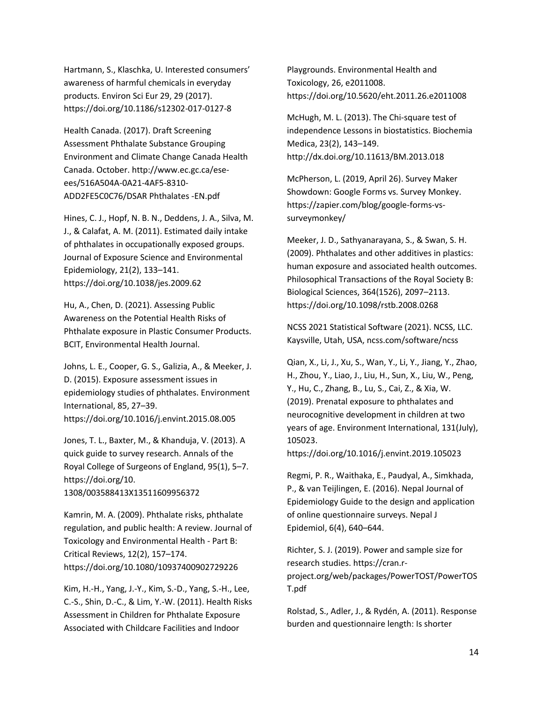Hartmann, S., Klaschka, U. Interested consumers' awareness of harmful chemicals in everyday products. Environ Sci Eur 29, 29 (2017). https://doi.org/10.1186/s12302-017-0127-8

Health Canada. (2017). Draft Screening Assessment Phthalate Substance Grouping Environment and Climate Change Canada Health Canada. October. http://www.ec.gc.ca/eseees/516A504A-0A21-4AF5-8310- ADD2FE5C0C76/DSAR Phthalates -EN.pdf

Hines, C. J., Hopf, N. B. N., Deddens, J. A., Silva, M. J., & Calafat, A. M. (2011). Estimated daily intake of phthalates in occupationally exposed groups. Journal of Exposure Science and Environmental Epidemiology, 21(2), 133–141. <https://doi.org/10.1038/jes.2009.62>

Hu, A., Chen, D. (2021). Assessing Public Awareness on the Potential Health Risks of Phthalate exposure in Plastic Consumer Products. BCIT, Environmental Health Journal.

Johns, L. E., Cooper, G. S., Galizia, A., & Meeker, J. D. (2015). Exposure assessment issues in epidemiology studies of phthalates. Environment International, 85, 27–39. https://doi.org/10.1016/j.envint.2015.08.005

Jones, T. L., Baxter, M., & Khanduja, V. (2013). A quick guide to survey research. Annals of the Royal College of Surgeons of England, 95(1), 5–7. https://doi.org/10. 1308/003588413X13511609956372

Kamrin, M. A. (2009). Phthalate risks, phthalate regulation, and public health: A review. Journal of Toxicology and Environmental Health - Part B: Critical Reviews, 12(2), 157–174. https://doi.org/10.1080/10937400902729226

Kim, H.-H., Yang, J.-Y., Kim, S.-D., Yang, S.-H., Lee, C.-S., Shin, D.-C., & Lim, Y.-W. (2011). Health Risks Assessment in Children for Phthalate Exposure Associated with Childcare Facilities and Indoor

Playgrounds. Environmental Health and Toxicology, 26, e2011008. https://doi.org/10.5620/eht.2011.26.e2011008

McHugh, M. L. (2013). The Chi-square test of independence Lessons in biostatistics. Biochemia Medica, 23(2), 143–149. http://dx.doi.org/10.11613/BM.2013.018

McPherson, L. (2019, April 26). Survey Maker Showdown: Google Forms vs. Survey Monkey. https://zapier.com/blog/google-forms-vssurveymonkey/

Meeker, J. D., Sathyanarayana, S., & Swan, S. H. (2009). Phthalates and other additives in plastics: human exposure and associated health outcomes. Philosophical Transactions of the Royal Society B: Biological Sciences, 364(1526), 2097–2113. https://doi.org/10.1098/rstb.2008.0268

NCSS 2021 Statistical Software (2021). NCSS, LLC. Kaysville, Utah, USA, ncss.com/software/ncss

Qian, X., Li, J., Xu, S., Wan, Y., Li, Y., Jiang, Y., Zhao, H., Zhou, Y., Liao, J., Liu, H., Sun, X., Liu, W., Peng, Y., Hu, C., Zhang, B., Lu, S., Cai, Z., & Xia, W. (2019). Prenatal exposure to phthalates and neurocognitive development in children at two years of age. Environment International, 131(July), 105023.

https://doi.org/10.1016/j.envint.2019.105023

Regmi, P. R., Waithaka, E., Paudyal, A., Simkhada, P., & van Teijlingen, E. (2016). Nepal Journal of Epidemiology Guide to the design and application of online questionnaire surveys. Nepal J Epidemiol, 6(4), 640–644.

Richter, S. J. (2019). Power and sample size for research studies. https://cran.rproject.org/web/packages/PowerTOST/PowerTOS T.pdf

Rolstad, S., Adler, J., & Rydén, A. (2011). Response burden and questionnaire length: Is shorter